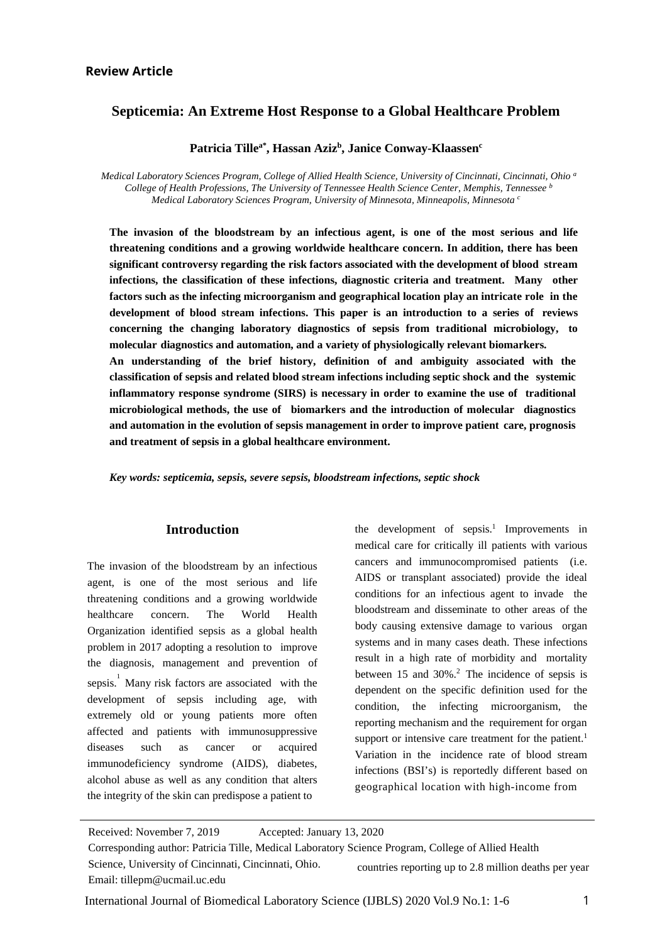# **Septicemia: An Extreme Host Response to a Global Healthcare Problem**

**Patricia Tillea\*, Hassan Azizb , Janice Conway-Klaassenc**

*Medical Laboratory Sciences Program, College of Allied Health Science, University of Cincinnati, Cincinnati, Ohio a College of Health Professions, The University of Tennessee Health Science Center, Memphis, Tennessee b Medical Laboratory Sciences Program, University of Minnesota, Minneapolis, Minnesota c*

**The invasion of the bloodstream by an infectious agent, is one of the most serious and life threatening conditions and a growing worldwide healthcare concern. In addition, there has been significant controversy regarding the risk factors associated with the development of blood stream infections, the classification of these infections, diagnostic criteria and treatment. Many other factors such as the infecting microorganism and geographical location play an intricate role in the development of blood stream infections. This paper is an introduction to a series of reviews concerning the changing laboratory diagnostics of sepsis from traditional microbiology, to molecular diagnostics and automation, and a variety of physiologically relevant biomarkers. An understanding of the brief history, definition of and ambiguity associated with the classification of sepsis and related blood stream infections including septic shock and the systemic inflammatory response syndrome (SIRS) is necessary in order to examine the use of traditional microbiological methods, the use of biomarkers and the introduction of molecular diagnostics and automation in the evolution of sepsis management in order to improve patient care, prognosis and treatment of sepsis in a global healthcare environment.**

*Key words: septicemia, sepsis, severe sepsis, bloodstream infections, septic shock* 

#### **Introduction**

The invasion of the bloodstream by an infectious agent, is one of the most serious and life threatening conditions and a growing worldwide healthcare concern. The World Health Organization identified sepsis as a global health problem in 2017 adopting a resolution to improve the diagnosis, management and prevention of sepsis.<sup>1</sup> Many risk factors are associated with the development of sepsis including age, with extremely old or young patients more often affected and patients with immunosuppressive diseases such as cancer or acquired immunodeficiency syndrome (AIDS), diabetes, alcohol abuse as well as any condition that alters the integrity of the skin can predispose a patient to

the development of sepsis. <sup>1</sup> Improvements in medical care for critically ill patients with various cancers and immunocompromised patients (i.e. AIDS or transplant associated) provide the ideal conditions for an infectious agent to invade the bloodstream and disseminate to other areas of the body causing extensive damage to various organ systems and in many cases death. These infections result in a high rate of morbidity and mortality between 15 and 30%.<sup>2</sup> The incidence of sepsis is dependent on the specific definition used for the condition, the infecting microorganism, the reporting mechanism and the requirement for organ support or intensive care treatment for the patient.<sup>1</sup> Variation in the incidence rate of blood stream infections (BSI's) is reportedly different based on geographical location with high-income from

countries reporting up to 2.8 million deaths per year Received: November 7, 2019 Accepted: January 13, 2020 Corresponding author: Patricia Tille, Medical Laboratory Science Program, College of Allied Health Science, University of Cincinnati, Cincinnati, Ohio. Email: tillepm@ucmail.uc.edu

International Journal of Biomedical Laboratory Science (IJBLS) 2020 Vol.9 No.1: 1-6 1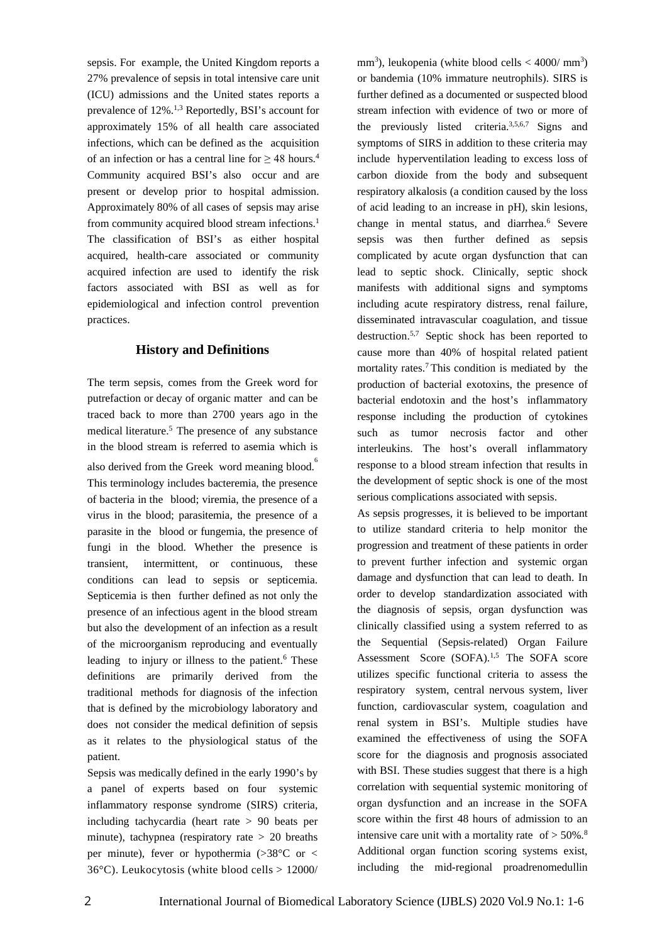sepsis. For example, the United Kingdom reports a 27% prevalence of sepsis in total intensive care unit (ICU) admissions and the United states reports a prevalence of 12%.<sup>1,3</sup> Reportedly, BSI's account for approximately 15% of all health care associated infections, which can be defined as the acquisition of an infection or has a central line for  $\geq 48$  hours.<sup>4</sup> Community acquired BSI's also occur and are present or develop prior to hospital admission. Approximately 80% of all cases of sepsis may arise from community acquired blood stream infections.<sup>1</sup> The classification of BSI's as either hospital acquired, health-care associated or community acquired infection are used to identify the risk factors associated with BSI as well as for epidemiological and infection control prevention practices.

## **History and Definitions**

The term sepsis, comes from the Greek word for putrefaction or decay of organic matter and can be traced back to more than 2700 years ago in the medical literature.5 The presence of any substance in the blood stream is referred to asemia which is also derived from the Greek word meaning blood.<sup>6</sup> This terminology includes bacteremia, the presence of bacteria in the blood; viremia, the presence of a virus in the blood; parasitemia, the presence of a parasite in the blood or fungemia, the presence of fungi in the blood. Whether the presence is transient, intermittent, or continuous, these conditions can lead to sepsis or septicemia. Septicemia is then further defined as not only the presence of an infectious agent in the blood stream but also the development of an infection as a result of the microorganism reproducing and eventually leading to injury or illness to the patient.<sup>6</sup> These definitions are primarily derived from the traditional methods for diagnosis of the infection that is defined by the microbiology laboratory and does not consider the medical definition of sepsis as it relates to the physiological status of the patient.

Sepsis was medically defined in the early 1990's by a panel of experts based on four systemic inflammatory response syndrome (SIRS) criteria, including tachycardia (heart rate > 90 beats per minute), tachypnea (respiratory rate > 20 breaths per minute), fever or hypothermia  $(>\!\!38^{\circ}\text{C}$  or < 36°C). Leukocytosis (white blood cells > 12000/ mm<sup>3</sup>), leukopenia (white blood cells  $<$  4000/ mm<sup>3</sup>) or bandemia (10% immature neutrophils). SIRS is further defined as a documented or suspected blood stream infection with evidence of two or more of the previously listed criteria.3,5,6,7 Signs and symptoms of SIRS in addition to these criteria may include hyperventilation leading to excess loss of carbon dioxide from the body and subsequent respiratory alkalosis (a condition caused by the loss of acid leading to an increase in pH), skin lesions, change in mental status, and diarrhea.<sup>6</sup> Severe sepsis was then further defined as sepsis complicated by acute organ dysfunction that can lead to septic shock. Clinically, septic shock manifests with additional signs and symptoms including acute respiratory distress, renal failure, disseminated intravascular coagulation, and tissue destruction.5,7 Septic shock has been reported to cause more than 40% of hospital related patient mortality rates.<sup>7</sup> This condition is mediated by the production of bacterial exotoxins, the presence of bacterial endotoxin and the host's inflammatory response including the production of cytokines such as tumor necrosis factor and other interleukins. The host's overall inflammatory response to a blood stream infection that results in the development of septic shock is one of the most serious complications associated with sepsis.

As sepsis progresses, it is believed to be important to utilize standard criteria to help monitor the progression and treatment of these patients in order to prevent further infection and systemic organ damage and dysfunction that can lead to death. In order to develop standardization associated with the diagnosis of sepsis, organ dysfunction was clinically classified using a system referred to as the Sequential (Sepsis-related) Organ Failure Assessment Score (SOFA).<sup>1,5</sup> The SOFA score utilizes specific functional criteria to assess the respiratory system, central nervous system, liver function, cardiovascular system, coagulation and renal system in BSI's. Multiple studies have examined the effectiveness of using the SOFA score for the diagnosis and prognosis associated with BSI. These studies suggest that there is a high correlation with sequential systemic monitoring of organ dysfunction and an increase in the SOFA score within the first 48 hours of admission to an intensive care unit with a mortality rate of  $>$  50%.<sup>8</sup> Additional organ function scoring systems exist, including the mid-regional proadrenomedullin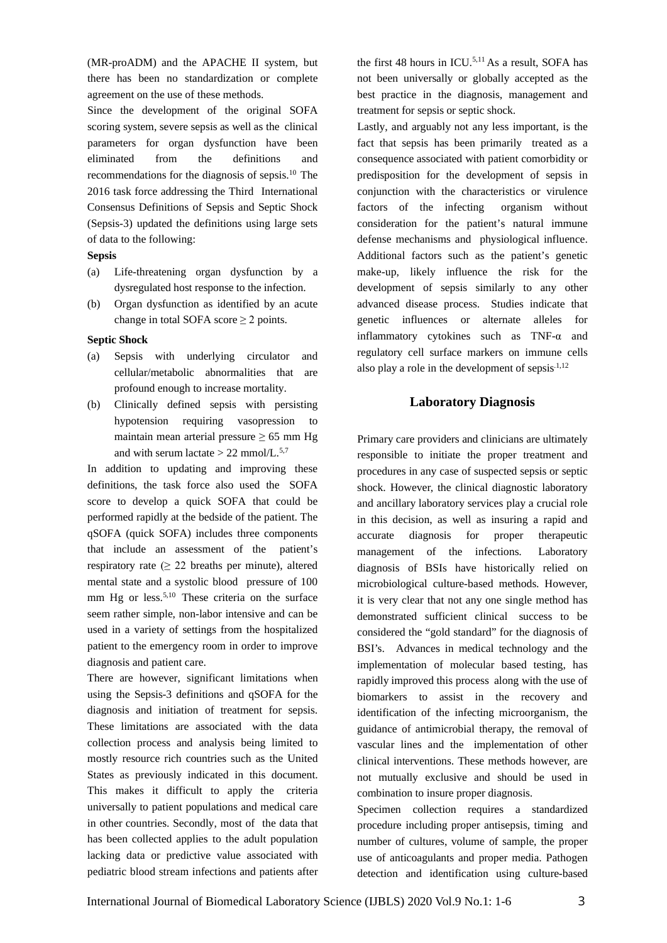(MR-proADM) and the APACHE II system, but there has been no standardization or complete agreement on the use of these methods.

Since the development of the original SOFA scoring system, severe sepsis as well as the clinical parameters for organ dysfunction have been eliminated from the definitions and recommendations for the diagnosis of sepsis.10 The 2016 task force addressing the Third International Consensus Definitions of Sepsis and Septic Shock (Sepsis-3) updated the definitions using large sets of data to the following:

#### **Sepsis**

- (a) Life-threatening organ dysfunction by a dysregulated host response to the infection.
- (b) Organ dysfunction as identified by an acute change in total SOFA score  $\geq 2$  points.

#### **Septic Shock**

- (a) Sepsis with underlying circulator and cellular/metabolic abnormalities that are profound enough to increase mortality.
- (b) Clinically defined sepsis with persisting hypotension requiring vasopression to maintain mean arterial pressure  $\geq 65$  mm Hg and with serum lactate  $> 22$  mmol/L.<sup>5,7</sup>

In addition to updating and improving these definitions, the task force also used the SOFA score to develop a quick SOFA that could be performed rapidly at the bedside of the patient. The qSOFA (quick SOFA) includes three components that include an assessment of the patient's respiratory rate  $(≥ 22$  breaths per minute), altered mental state and a systolic blood pressure of 100 mm Hg or less.<sup>5,10</sup> These criteria on the surface seem rather simple, non-labor intensive and can be used in a variety of settings from the hospitalized patient to the emergency room in order to improve diagnosis and patient care.

There are however, significant limitations when using the Sepsis-3 definitions and qSOFA for the diagnosis and initiation of treatment for sepsis. These limitations are associated with the data collection process and analysis being limited to mostly resource rich countries such as the United States as previously indicated in this document. This makes it difficult to apply the criteria universally to patient populations and medical care in other countries. Secondly, most of the data that has been collected applies to the adult population lacking data or predictive value associated with pediatric blood stream infections and patients after

the first 48 hours in ICU.<sup>5,11</sup> As a result, SOFA has not been universally or globally accepted as the best practice in the diagnosis, management and treatment for sepsis or septic shock.

Lastly, and arguably not any less important, is the fact that sepsis has been primarily treated as a consequence associated with patient comorbidity or predisposition for the development of sepsis in conjunction with the characteristics or virulence factors of the infecting organism without consideration for the patient's natural immune defense mechanisms and physiological influence. Additional factors such as the patient's genetic make-up, likely influence the risk for the development of sepsis similarly to any other advanced disease process. Studies indicate that genetic influences or alternate alleles for inflammatory cytokines such as TNF-α and regulatory cell surface markers on immune cells also play a role in the development of sepsis.1,12

### **Laboratory Diagnosis**

Primary care providers and clinicians are ultimately responsible to initiate the proper treatment and procedures in any case of suspected sepsis or septic shock. However, the clinical diagnostic laboratory and ancillary laboratory services play a crucial role in this decision, as well as insuring a rapid and accurate diagnosis for proper therapeutic management of the infections. Laboratory diagnosis of BSIs have historically relied on microbiological culture-based methods. However, it is very clear that not any one single method has demonstrated sufficient clinical success to be considered the "gold standard" for the diagnosis of BSI's. Advances in medical technology and the implementation of molecular based testing, has rapidly improved this process along with the use of biomarkers to assist in the recovery and identification of the infecting microorganism, the guidance of antimicrobial therapy, the removal of vascular lines and the implementation of other clinical interventions. These methods however, are not mutually exclusive and should be used in combination to insure proper diagnosis.

Specimen collection requires a standardized procedure including proper antisepsis, timing and number of cultures, volume of sample, the proper use of anticoagulants and proper media. Pathogen detection and identification using culture-based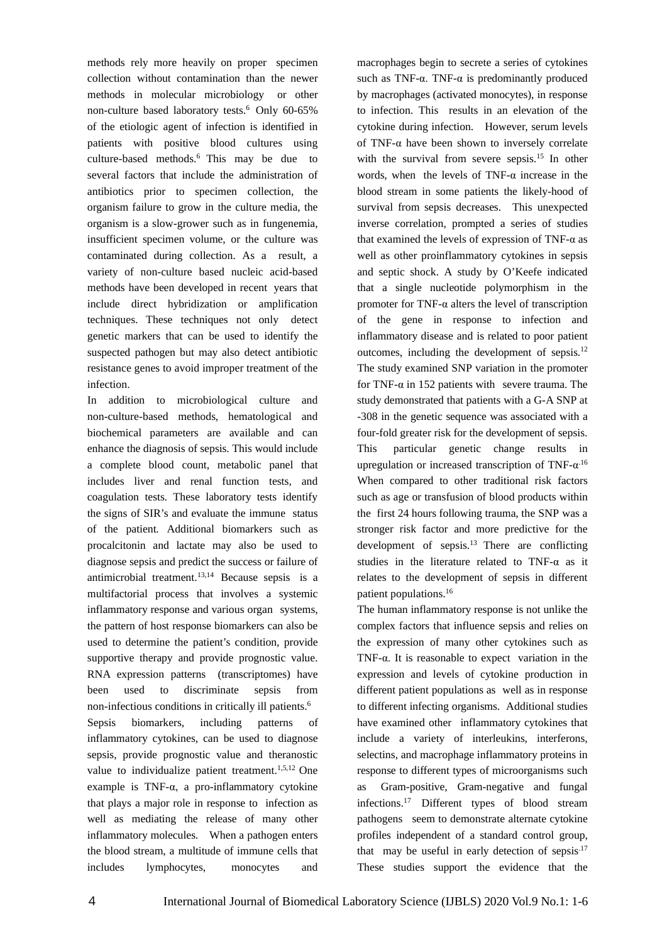methods rely more heavily on proper specimen collection without contamination than the newer methods in molecular microbiology or other non-culture based laboratory tests.<sup>6</sup> Only 60-65% of the etiologic agent of infection is identified in patients with positive blood cultures using culture-based methods.6 This may be due to several factors that include the administration of antibiotics prior to specimen collection, the organism failure to grow in the culture media, the organism is a slow-grower such as in fungenemia, insufficient specimen volume, or the culture was contaminated during collection. As a result, a variety of non-culture based nucleic acid-based methods have been developed in recent years that include direct hybridization or amplification techniques. These techniques not only detect genetic markers that can be used to identify the suspected pathogen but may also detect antibiotic resistance genes to avoid improper treatment of the infection.

In addition to microbiological culture and non-culture-based methods, hematological and biochemical parameters are available and can enhance the diagnosis of sepsis. This would include a complete blood count, metabolic panel that includes liver and renal function tests, and coagulation tests. These laboratory tests identify the signs of SIR's and evaluate the immune status of the patient. Additional biomarkers such as procalcitonin and lactate may also be used to diagnose sepsis and predict the success or failure of antimicrobial treatment.<sup>13,14</sup> Because sepsis is a multifactorial process that involves a systemic inflammatory response and various organ systems, the pattern of host response biomarkers can also be used to determine the patient's condition, provide supportive therapy and provide prognostic value. RNA expression patterns (transcriptomes) have been used to discriminate sepsis from non-infectious conditions in critically ill patients.6 Sepsis biomarkers, including patterns of inflammatory cytokines, can be used to diagnose sepsis, provide prognostic value and theranostic value to individualize patient treatment.<sup>1,5,12</sup> One example is TNF- $\alpha$ , a pro-inflammatory cytokine that plays a major role in response to infection as well as mediating the release of many other inflammatory molecules. When a pathogen enters the blood stream, a multitude of immune cells that includes lymphocytes, monocytes and

macrophages begin to secrete a series of cytokines such as TNF- $\alpha$ . TNF- $\alpha$  is predominantly produced by macrophages (activated monocytes), in response to infection. This results in an elevation of the cytokine during infection. However, serum levels of TNF- $\alpha$  have been shown to inversely correlate with the survival from severe sepsis.<sup>15</sup> In other words, when the levels of TNF- $\alpha$  increase in the blood stream in some patients the likely-hood of survival from sepsis decreases. This unexpected inverse correlation, prompted a series of studies that examined the levels of expression of TNF- $\alpha$  as well as other proinflammatory cytokines in sepsis and septic shock. A study by O'Keefe indicated that a single nucleotide polymorphism in the promoter for TNF- $\alpha$  alters the level of transcription of the gene in response to infection and inflammatory disease and is related to poor patient outcomes, including the development of sepsis.12 The study examined SNP variation in the promoter for TNF- $\alpha$  in 152 patients with severe trauma. The study demonstrated that patients with a G-A SNP at -308 in the genetic sequence was associated with a four-fold greater risk for the development of sepsis. This particular genetic change results in upregulation or increased transcription of TNF- $\alpha$ <sup>16</sup> When compared to other traditional risk factors such as age or transfusion of blood products within the first 24 hours following trauma, the SNP was a stronger risk factor and more predictive for the development of sepsis. $13$  There are conflicting studies in the literature related to TNF-α as it relates to the development of sepsis in different patient populations.<sup>16</sup>

The human inflammatory response is not unlike the complex factors that influence sepsis and relies on the expression of many other cytokines such as TNF-α. It is reasonable to expect variation in the expression and levels of cytokine production in different patient populations as well as in response to different infecting organisms. Additional studies have examined other inflammatory cytokines that include a variety of interleukins, interferons, selectins, and macrophage inflammatory proteins in response to different types of microorganisms such as Gram-positive, Gram-negative and fungal infections.17 Different types of blood stream pathogens seem to demonstrate alternate cytokine profiles independent of a standard control group, that may be useful in early detection of sepsis.<sup>17</sup> These studies support the evidence that the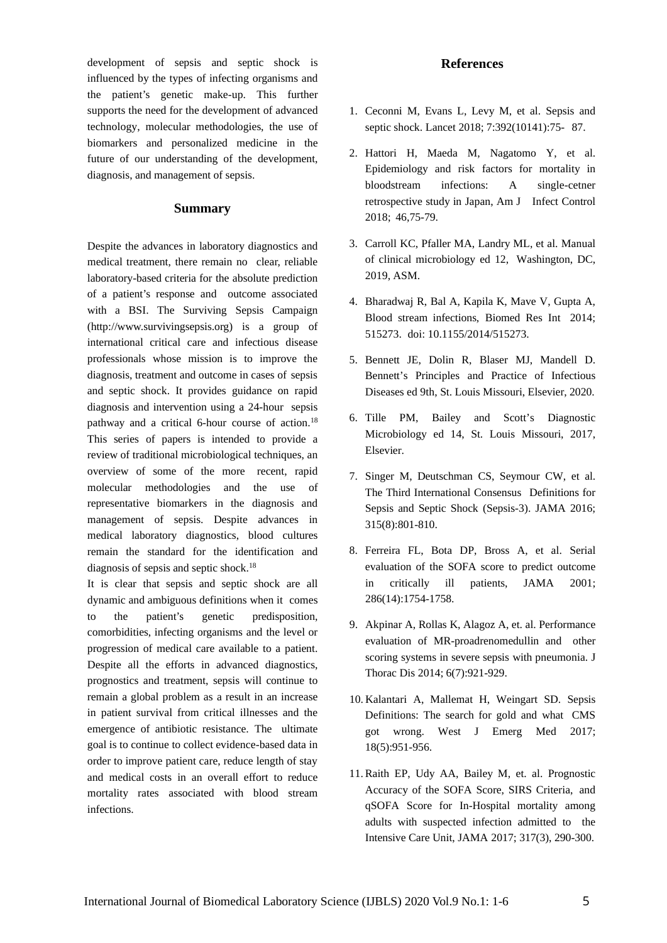development of sepsis and septic shock is influenced by the types of infecting organisms and the patient's genetic make-up. This further supports the need for the development of advanced technology, molecular methodologies, the use of biomarkers and personalized medicine in the future of our understanding of the development, diagnosis, and management of sepsis.

#### **Summary**

Despite the advances in laboratory diagnostics and medical treatment, there remain no clear, reliable laboratory-based criteria for the absolute prediction of a patient's response and outcome associated with a BSI. The Surviving Sepsis Campaign (http://www.survivingsepsis.org) is a group of international critical care and infectious disease professionals whose mission is to improve the diagnosis, treatment and outcome in cases of sepsis and septic shock. It provides guidance on rapid diagnosis and intervention using a 24-hour sepsis pathway and a critical 6-hour course of action.<sup>18</sup> This series of papers is intended to provide a review of traditional microbiological techniques, an overview of some of the more recent, rapid molecular methodologies and the use of representative biomarkers in the diagnosis and management of sepsis. Despite advances in medical laboratory diagnostics, blood cultures remain the standard for the identification and diagnosis of sepsis and septic shock.<sup>18</sup>

It is clear that sepsis and septic shock are all dynamic and ambiguous definitions when it comes to the patient's genetic predisposition, comorbidities, infecting organisms and the level or progression of medical care available to a patient. Despite all the efforts in advanced diagnostics, prognostics and treatment, sepsis will continue to remain a global problem as a result in an increase in patient survival from critical illnesses and the emergence of antibiotic resistance. The ultimate goal is to continue to collect evidence-based data in order to improve patient care, reduce length of stay and medical costs in an overall effort to reduce mortality rates associated with blood stream infections.

#### **References**

- 1. Ceconni M, Evans L, Levy M, et al. Sepsis and septic shock. Lancet 2018; 7:392(10141):75- 87.
- 2. Hattori H, Maeda M, Nagatomo Y, et al. Epidemiology and risk factors for mortality in bloodstream infections: A single-cetner retrospective study in Japan, Am J Infect Control 2018; 46,75-79.
- 3. Carroll KC, Pfaller MA, Landry ML, et al. Manual of clinical microbiology ed 12, Washington, DC, 2019, ASM.
- 4. Bharadwaj R, Bal A, Kapila K, Mave V, Gupta A, Blood stream infections, Biomed Res Int 2014; 515273. doi: 10.1155/2014/515273.
- 5. Bennett JE, Dolin R, Blaser MJ, Mandell D. Bennett's Principles and Practice of Infectious Diseases ed 9th, St. Louis Missouri, Elsevier, 2020.
- 6. Tille PM, Bailey and Scott's Diagnostic Microbiology ed 14, St. Louis Missouri, 2017, Elsevier.
- 7. Singer M, Deutschman CS, Seymour CW, et al. The Third International Consensus Definitions for Sepsis and Septic Shock (Sepsis-3). JAMA 2016; 315(8):801-810.
- 8. Ferreira FL, Bota DP, Bross A, et al. Serial evaluation of the SOFA score to predict outcome in critically ill patients, JAMA 2001; 286(14):1754-1758.
- 9. Akpinar A, Rollas K, Alagoz A, et. al. Performance evaluation of MR-proadrenomedullin and other scoring systems in severe sepsis with pneumonia. J Thorac Dis 2014; 6(7):921-929.
- 10. Kalantari A, Mallemat H, Weingart SD. Sepsis Definitions: The search for gold and what CMS got wrong. West J Emerg Med 2017; 18(5):951-956.
- 11.Raith EP, Udy AA, Bailey M, et. al. Prognostic Accuracy of the SOFA Score, SIRS Criteria, and qSOFA Score for In-Hospital mortality among adults with suspected infection admitted to the Intensive Care Unit, JAMA 2017; 317(3), 290-300.